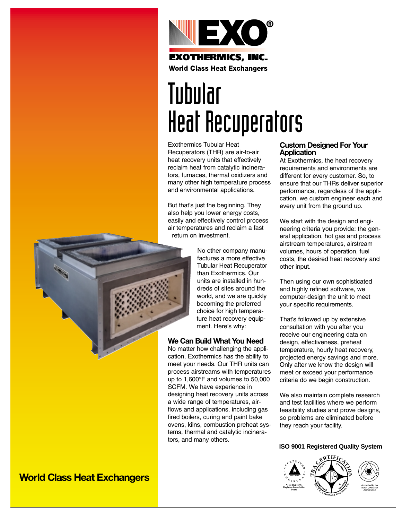

# Tubular Heat Recuperators

Exothermics Tubular Heat Recuperators (THR) are air-to-air heat recovery units that effectively reclaim heat from catalytic incinerators, furnaces, thermal oxidizers and many other high temperature process and environmental applications.

But that's just the beginning. They also help you lower energy costs, easily and effectively control process air temperatures and reclaim a fast return on investment.

> No other company manufactures a more effective Tubular Heat Recuperator than Exothermics. Our units are installed in hundreds of sites around the world, and we are quickly becoming the preferred choice for high temperature heat recovery equipment. Here's why:

#### **We Can Build What You Need**

No matter how challenging the application, Exothermics has the ability to meet your needs. Our THR units can process airstreams with temperatures up to 1,600°F and volumes to 50,000 SCFM. We have experience in designing heat recovery units across a wide range of temperatures, airflows and applications, including gas fired boilers, curing and paint bake ovens, kilns, combustion preheat systems, thermal and catalytic incinerators, and many others.

#### **Custom Designed For Your Application**

At Exothermics, the heat recovery requirements and environments are different for every customer. So, to ensure that our THRs deliver superior performance, regardless of the application, we custom engineer each and every unit from the ground up.

We start with the design and engineering criteria you provide: the general application, hot gas and process airstream temperatures, airstream volumes, hours of operation, fuel costs, the desired heat recovery and other input.

Then using our own sophisticated and highly refined software, we computer-design the unit to meet your specific requirements.

That's followed up by extensive consultation with you after you receive our engineering data on design, effectiveness, preheat temperature, hourly heat recovery, projected energy savings and more. Only after we know the design will meet or exceed your performance criteria do we begin construction.

We also maintain complete research and test facilities where we perform feasibility studies and prove designs, so problems are eliminated before they reach your facility.

#### **ISO 9001 Registered Quality System**



### **World Class Heat Exchangers**